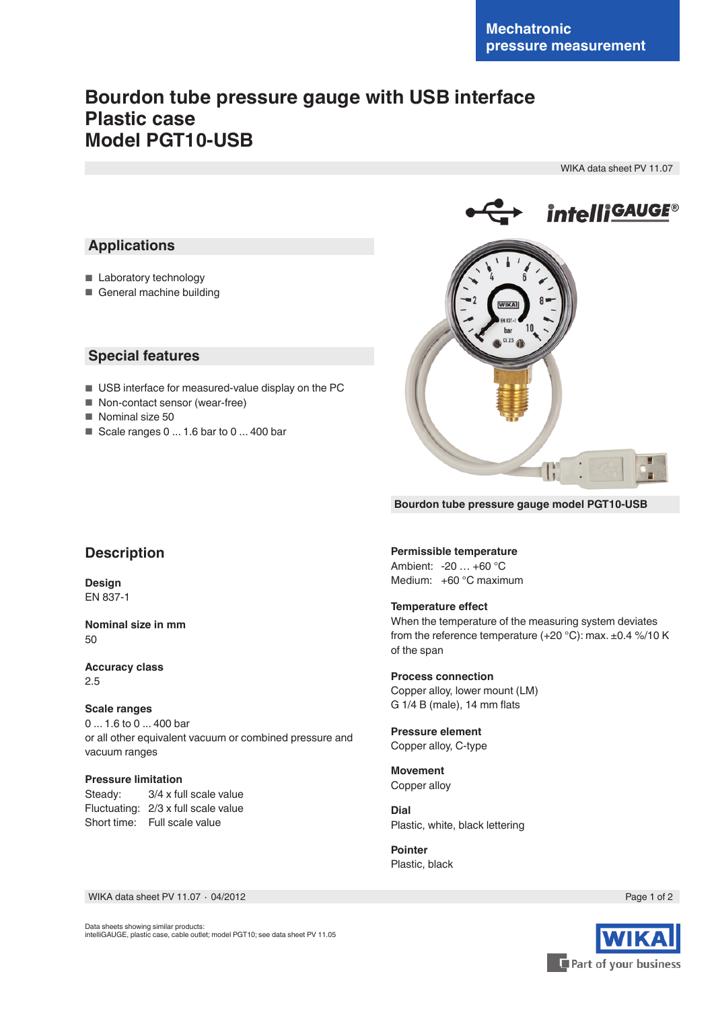# **Bourdon tube pressure gauge with USB interface Plastic case Model PGT10-USB**

WIKA data sheet PV 11.07



# **Applications**

- Laboratory technology
- General machine building

## **Special features**

- USB interface for measured-value display on the PC
- Non-contact sensor (wear-free)
- Nominal size 50
- Scale ranges 0 ... 1.6 bar to 0 ... 400 bar



**Bourdon tube pressure gauge model PGT10-USB**

# **Description**

**Design** EN 837-1

**Nominal size in mm**  $50$ 

**Accuracy class** 2.5

### **Scale ranges**

0 ... 1.6 to 0 ... 400 bar or all other equivalent vacuum or combined pressure and vacuum ranges

# **Pressure limitation**<br>Steady:  $3/4 \times$  full

3/4 x full scale value Fluctuating: 2/3 x full scale value Short time: Full scale value

#### **Permissible temperature**

Ambient: -20 … +60 °C Medium: +60 °C maximum

#### **Temperature effect**

When the temperature of the measuring system deviates from the reference temperature (+20 °C): max. ±0.4 %/10 K of the span

**Process connection** Copper alloy, lower mount (LM) G 1/4 B (male), 14 mm flats

**Pressure element** Copper alloy, C-type

**Movement** Copper alloy

**Dial** Plastic, white, black lettering

**Pointer** Plastic, black



Data sheets showing similar products: intelliGAUGE, plastic case, cable outlet; model PGT10; see data sheet PV 11.05